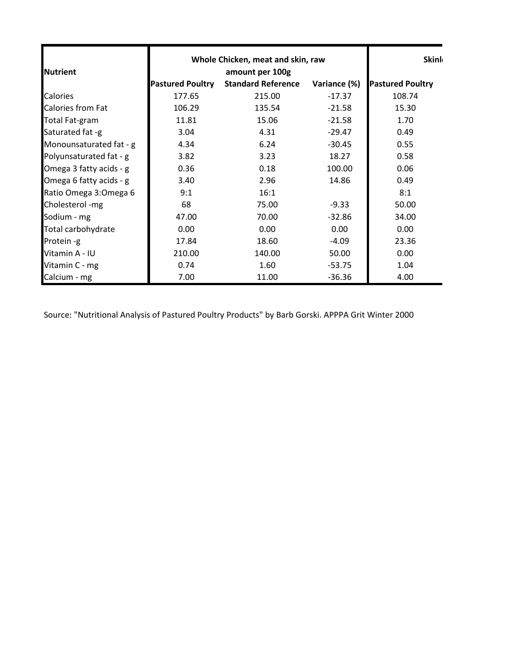|                          |                         | Whole Chicken, meat and skin, raw |              |                         |
|--------------------------|-------------------------|-----------------------------------|--------------|-------------------------|
| <b>Nutrient</b>          | amount per 100g         |                                   |              |                         |
|                          | <b>Pastured Poultry</b> | <b>Standard Reference</b>         | Variance (%) | <b>Pastured Poultry</b> |
| Calories                 | 177.65                  | 215.00                            | $-17.37$     | 108.74                  |
| <b>Calories from Fat</b> | 106.29                  | 135.54                            | $-21.58$     | 15.30                   |
| <b>Total Fat-gram</b>    | 11.81                   | 15.06                             | $-21.58$     | 1.70                    |
| Saturated fat -g         | 3.04                    | 4.31                              | $-29.47$     | 0.49                    |
| Monounsaturated fat - g  | 4.34                    | 6.24                              | $-30.45$     | 0.55                    |
| Polyunsaturated fat - g  | 3.82                    | 3.23                              | 18.27        | 0.58                    |
| Omega 3 fatty acids - g  | 0.36                    | 0.18                              | 100.00       | 0.06                    |
| Omega 6 fatty acids - g  | 3.40                    | 2.96                              | 14.86        | 0.49                    |
| Ratio Omega 3: Omega 6   | 9:1                     | 16:1                              |              | 8:1                     |
| Cholesterol -mg          | 68                      | 75.00                             | $-9.33$      | 50.00                   |
| Sodium - mg              | 47.00                   | 70.00                             | $-32.86$     | 34.00                   |
| Total carbohydrate       | 0.00                    | 0.00                              | 0.00         | 0.00                    |
| Protein -g               | 17.84                   | 18.60                             | $-4.09$      | 23.36                   |
| Vitamin A - IU           | 210.00                  | 140.00                            | 50.00        | 0.00                    |
| Vitamin C - mg           | 0.74                    | 1.60                              | $-53.75$     | 1.04                    |
| Calcium - mg             | 7.00                    | 11.00                             | $-36.36$     | 4.00                    |

Source: "Nutritional Analysis of Pastured Poultry Products" by Barb Gorski. APPPA Grit Winter 2000